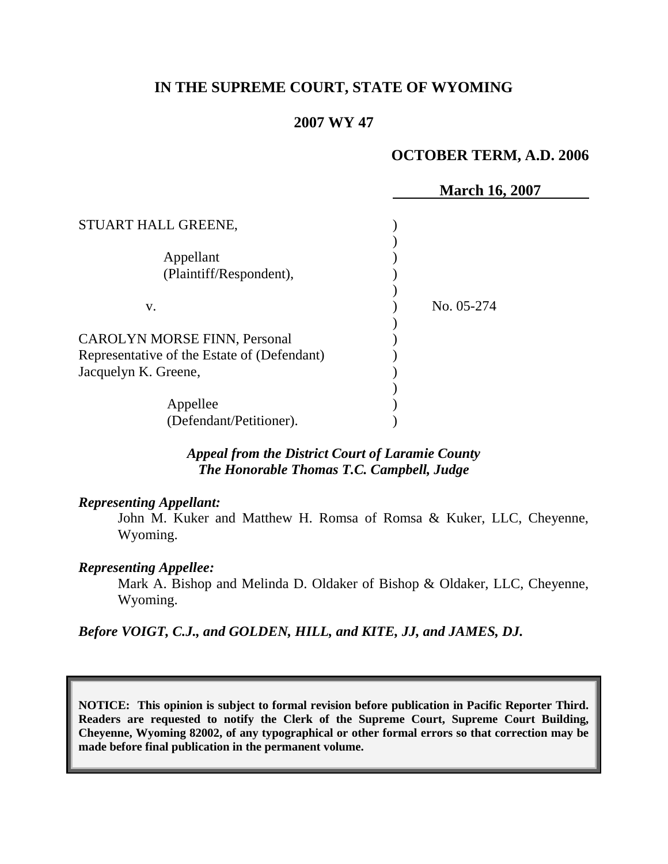# **IN THE SUPREME COURT, STATE OF WYOMING**

## **2007 WY 47**

## **OCTOBER TERM, A.D. 2006**

|                                             | <b>March 16, 2007</b> |
|---------------------------------------------|-----------------------|
| STUART HALL GREENE,                         |                       |
|                                             |                       |
| Appellant                                   |                       |
| (Plaintiff/Respondent),                     |                       |
|                                             |                       |
| V.                                          | No. 05-274            |
|                                             |                       |
| <b>CAROLYN MORSE FINN, Personal</b>         |                       |
| Representative of the Estate of (Defendant) |                       |
| Jacquelyn K. Greene,                        |                       |
|                                             |                       |
| Appellee                                    |                       |
| (Defendant/Petitioner).                     |                       |

*Appeal from the District Court of Laramie County The Honorable Thomas T.C. Campbell, Judge*

#### *Representing Appellant:*

John M. Kuker and Matthew H. Romsa of Romsa & Kuker, LLC, Cheyenne, Wyoming.

#### *Representing Appellee:*

Mark A. Bishop and Melinda D. Oldaker of Bishop & Oldaker, LLC, Cheyenne, Wyoming.

*Before VOIGT, C.J., and GOLDEN, HILL, and KITE, JJ, and JAMES, DJ.*

**NOTICE: This opinion is subject to formal revision before publication in Pacific Reporter Third. Readers are requested to notify the Clerk of the Supreme Court, Supreme Court Building, Cheyenne, Wyoming 82002, of any typographical or other formal errors so that correction may be made before final publication in the permanent volume.**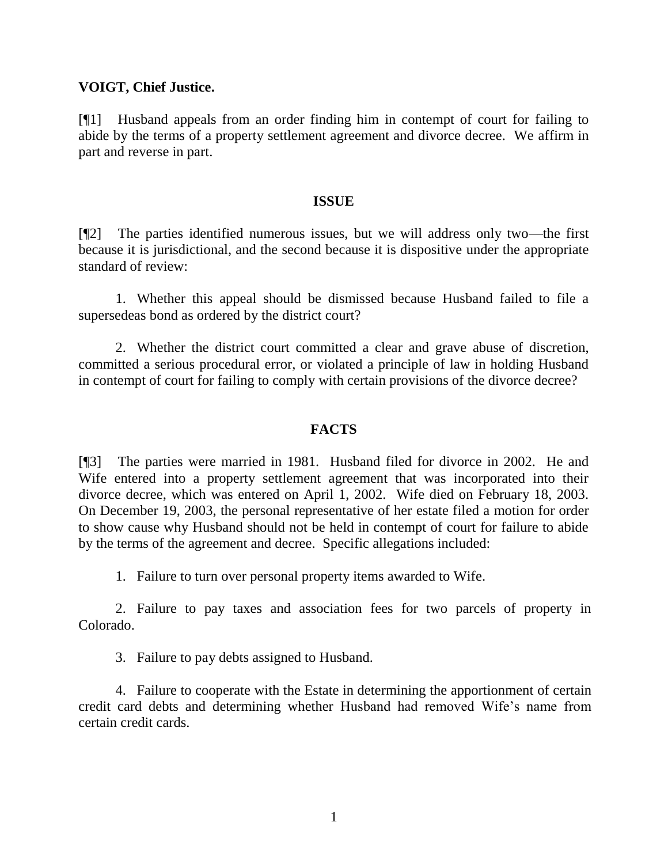## **VOIGT, Chief Justice.**

[¶1] Husband appeals from an order finding him in contempt of court for failing to abide by the terms of a property settlement agreement and divorce decree. We affirm in part and reverse in part.

#### **ISSUE**

[¶2] The parties identified numerous issues, but we will address only two—the first because it is jurisdictional, and the second because it is dispositive under the appropriate standard of review:

1. Whether this appeal should be dismissed because Husband failed to file a supersedeas bond as ordered by the district court?

2. Whether the district court committed a clear and grave abuse of discretion, committed a serious procedural error, or violated a principle of law in holding Husband in contempt of court for failing to comply with certain provisions of the divorce decree?

### **FACTS**

[¶3] The parties were married in 1981. Husband filed for divorce in 2002. He and Wife entered into a property settlement agreement that was incorporated into their divorce decree, which was entered on April 1, 2002. Wife died on February 18, 2003. On December 19, 2003, the personal representative of her estate filed a motion for order to show cause why Husband should not be held in contempt of court for failure to abide by the terms of the agreement and decree. Specific allegations included:

1. Failure to turn over personal property items awarded to Wife.

2. Failure to pay taxes and association fees for two parcels of property in Colorado.

3. Failure to pay debts assigned to Husband.

4. Failure to cooperate with the Estate in determining the apportionment of certain credit card debts and determining whether Husband had removed Wife's name from certain credit cards.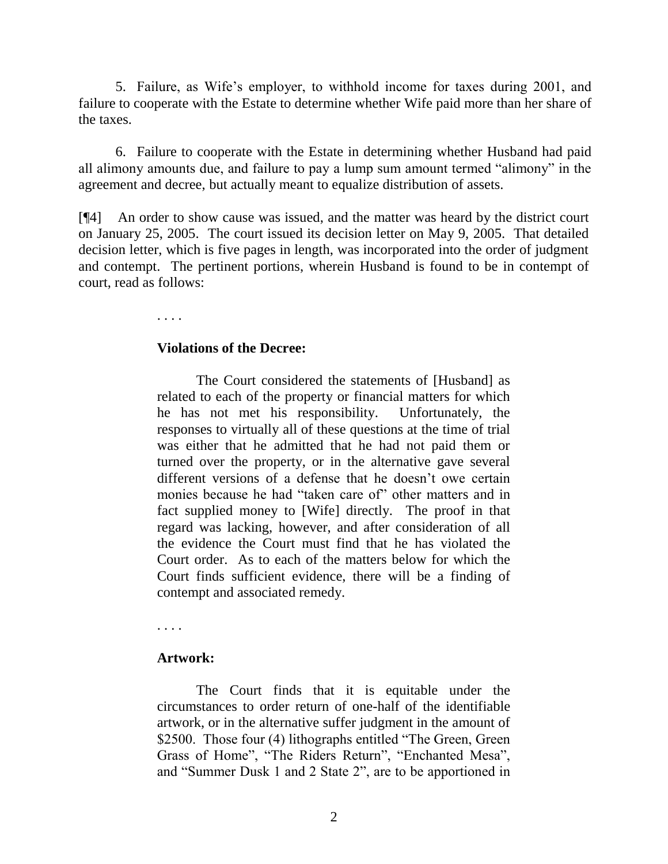5. Failure, as Wife's employer, to withhold income for taxes during 2001, and failure to cooperate with the Estate to determine whether Wife paid more than her share of the taxes.

6. Failure to cooperate with the Estate in determining whether Husband had paid all alimony amounts due, and failure to pay a lump sum amount termed "alimony" in the agreement and decree, but actually meant to equalize distribution of assets.

[¶4] An order to show cause was issued, and the matter was heard by the district court on January 25, 2005. The court issued its decision letter on May 9, 2005. That detailed decision letter, which is five pages in length, was incorporated into the order of judgment and contempt. The pertinent portions, wherein Husband is found to be in contempt of court, read as follows:

. . . .

#### **Violations of the Decree:**

The Court considered the statements of [Husband] as related to each of the property or financial matters for which he has not met his responsibility. Unfortunately, the responses to virtually all of these questions at the time of trial was either that he admitted that he had not paid them or turned over the property, or in the alternative gave several different versions of a defense that he doesn't owe certain monies because he had "taken care of" other matters and in fact supplied money to [Wife] directly. The proof in that regard was lacking, however, and after consideration of all the evidence the Court must find that he has violated the Court order. As to each of the matters below for which the Court finds sufficient evidence, there will be a finding of contempt and associated remedy.

. . . .

### **Artwork:**

The Court finds that it is equitable under the circumstances to order return of one-half of the identifiable artwork, or in the alternative suffer judgment in the amount of \$2500. Those four (4) lithographs entitled "The Green, Green Grass of Home", "The Riders Return", "Enchanted Mesa", and "Summer Dusk 1 and 2 State 2", are to be apportioned in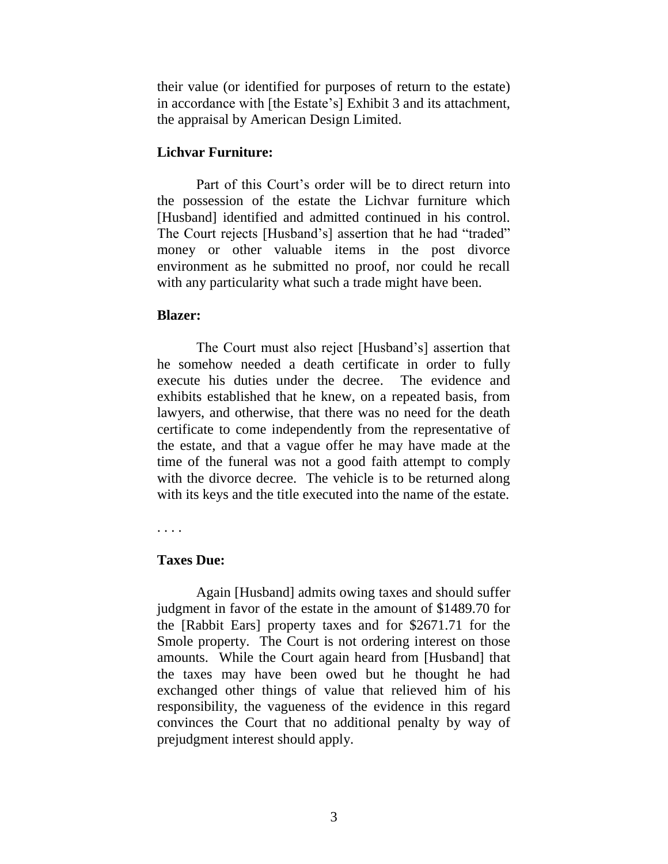their value (or identified for purposes of return to the estate) in accordance with [the Estate's] Exhibit 3 and its attachment, the appraisal by American Design Limited.

### **Lichvar Furniture:**

Part of this Court's order will be to direct return into the possession of the estate the Lichvar furniture which [Husband] identified and admitted continued in his control. The Court rejects [Husband's] assertion that he had "traded" money or other valuable items in the post divorce environment as he submitted no proof, nor could he recall with any particularity what such a trade might have been.

## **Blazer:**

The Court must also reject [Husband's] assertion that he somehow needed a death certificate in order to fully execute his duties under the decree. The evidence and exhibits established that he knew, on a repeated basis, from lawyers, and otherwise, that there was no need for the death certificate to come independently from the representative of the estate, and that a vague offer he may have made at the time of the funeral was not a good faith attempt to comply with the divorce decree. The vehicle is to be returned along with its keys and the title executed into the name of the estate.

. . . .

# **Taxes Due:**

Again [Husband] admits owing taxes and should suffer judgment in favor of the estate in the amount of \$1489.70 for the [Rabbit Ears] property taxes and for \$2671.71 for the Smole property. The Court is not ordering interest on those amounts. While the Court again heard from [Husband] that the taxes may have been owed but he thought he had exchanged other things of value that relieved him of his responsibility, the vagueness of the evidence in this regard convinces the Court that no additional penalty by way of prejudgment interest should apply.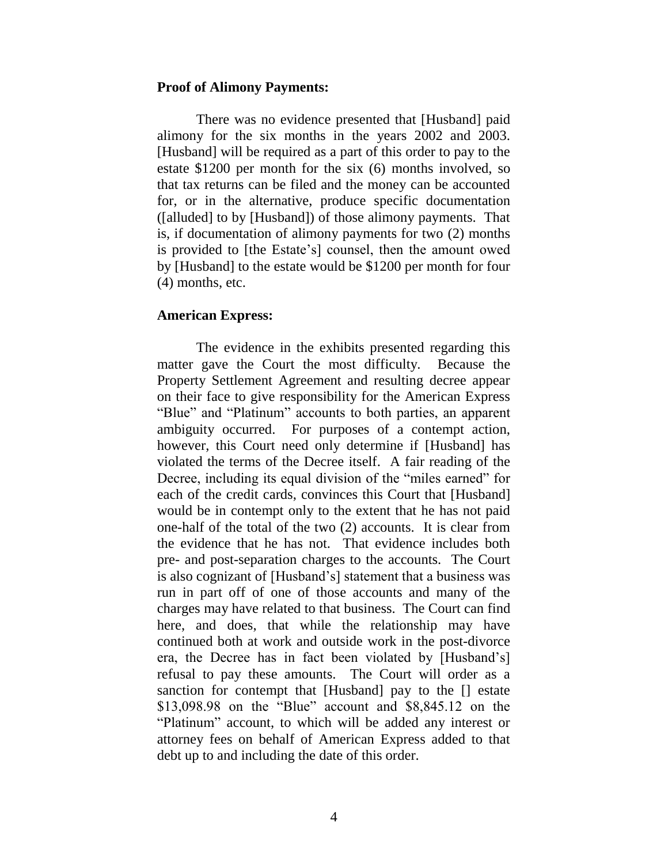#### **Proof of Alimony Payments:**

There was no evidence presented that [Husband] paid alimony for the six months in the years 2002 and 2003. [Husband] will be required as a part of this order to pay to the estate \$1200 per month for the six (6) months involved, so that tax returns can be filed and the money can be accounted for, or in the alternative, produce specific documentation ([alluded] to by [Husband]) of those alimony payments. That is, if documentation of alimony payments for two (2) months is provided to [the Estate's] counsel, then the amount owed by [Husband] to the estate would be \$1200 per month for four (4) months, etc.

#### **American Express:**

The evidence in the exhibits presented regarding this matter gave the Court the most difficulty. Because the Property Settlement Agreement and resulting decree appear on their face to give responsibility for the American Express "Blue" and "Platinum" accounts to both parties, an apparent ambiguity occurred. For purposes of a contempt action, however, this Court need only determine if [Husband] has violated the terms of the Decree itself. A fair reading of the Decree, including its equal division of the "miles earned" for each of the credit cards, convinces this Court that [Husband] would be in contempt only to the extent that he has not paid one-half of the total of the two (2) accounts. It is clear from the evidence that he has not. That evidence includes both pre- and post-separation charges to the accounts. The Court is also cognizant of [Husband's] statement that a business was run in part off of one of those accounts and many of the charges may have related to that business. The Court can find here, and does, that while the relationship may have continued both at work and outside work in the post-divorce era, the Decree has in fact been violated by [Husband's] refusal to pay these amounts. The Court will order as a sanction for contempt that [Husband] pay to the [] estate \$13,098.98 on the "Blue" account and \$8,845.12 on the "Platinum" account, to which will be added any interest or attorney fees on behalf of American Express added to that debt up to and including the date of this order.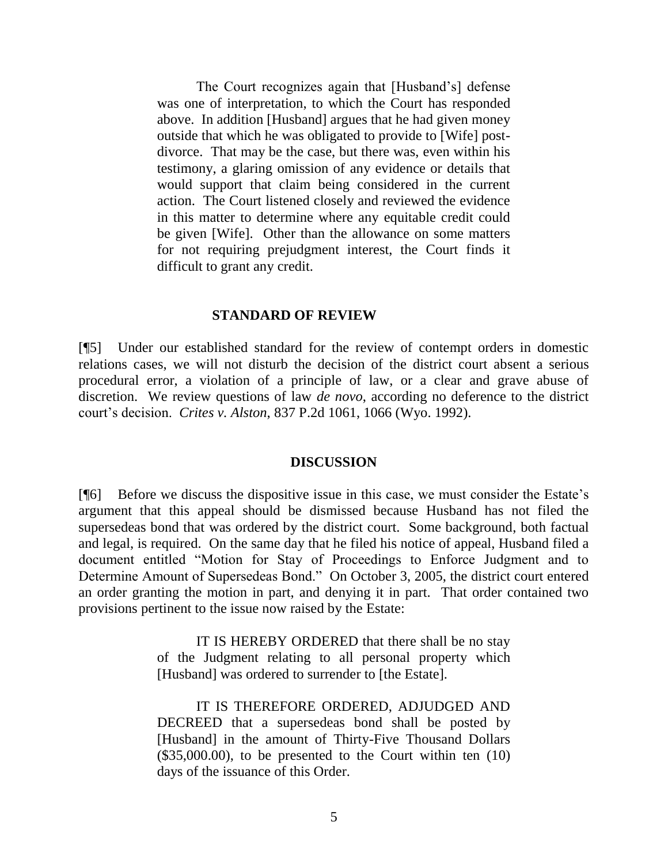The Court recognizes again that [Husband's] defense was one of interpretation, to which the Court has responded above. In addition [Husband] argues that he had given money outside that which he was obligated to provide to [Wife] postdivorce. That may be the case, but there was, even within his testimony, a glaring omission of any evidence or details that would support that claim being considered in the current action. The Court listened closely and reviewed the evidence in this matter to determine where any equitable credit could be given [Wife]. Other than the allowance on some matters for not requiring prejudgment interest, the Court finds it difficult to grant any credit.

#### **STANDARD OF REVIEW**

[¶5] Under our established standard for the review of contempt orders in domestic relations cases, we will not disturb the decision of the district court absent a serious procedural error, a violation of a principle of law, or a clear and grave abuse of discretion. We review questions of law *de novo*, according no deference to the district court's decision. *Crites v. Alston*, 837 P.2d 1061, 1066 (Wyo. 1992).

#### **DISCUSSION**

[¶6] Before we discuss the dispositive issue in this case, we must consider the Estate's argument that this appeal should be dismissed because Husband has not filed the supersedeas bond that was ordered by the district court. Some background, both factual and legal, is required. On the same day that he filed his notice of appeal, Husband filed a document entitled "Motion for Stay of Proceedings to Enforce Judgment and to Determine Amount of Supersedeas Bond." On October 3, 2005, the district court entered an order granting the motion in part, and denying it in part. That order contained two provisions pertinent to the issue now raised by the Estate:

> IT IS HEREBY ORDERED that there shall be no stay of the Judgment relating to all personal property which [Husband] was ordered to surrender to [the Estate].

> IT IS THEREFORE ORDERED, ADJUDGED AND DECREED that a supersedeas bond shall be posted by [Husband] in the amount of Thirty-Five Thousand Dollars (\$35,000.00), to be presented to the Court within ten (10) days of the issuance of this Order.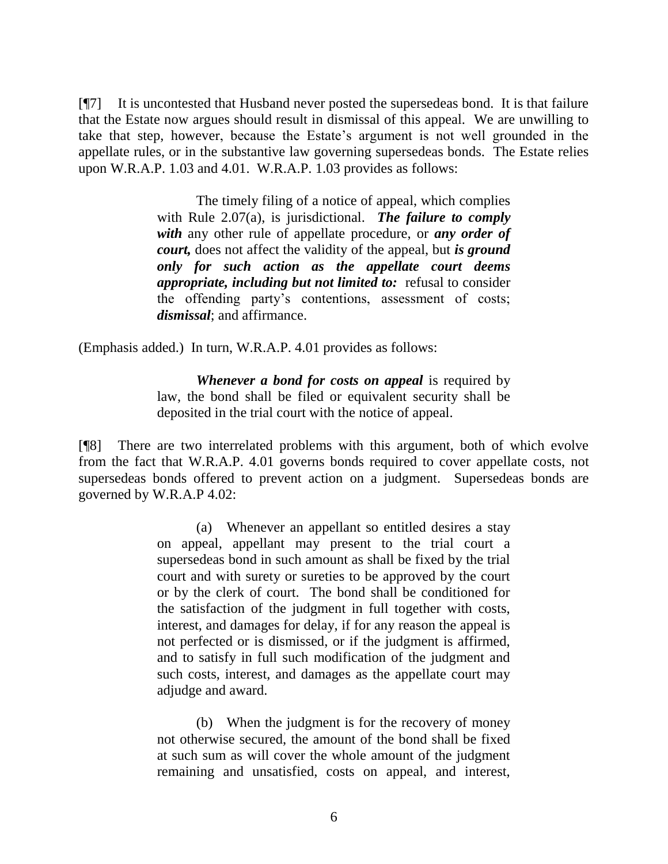[¶7] It is uncontested that Husband never posted the supersedeas bond. It is that failure that the Estate now argues should result in dismissal of this appeal. We are unwilling to take that step, however, because the Estate's argument is not well grounded in the appellate rules, or in the substantive law governing supersedeas bonds. The Estate relies upon W.R.A.P. 1.03 and 4.01. W.R.A.P. 1.03 provides as follows:

> The timely filing of a notice of appeal, which complies with Rule 2.07(a), is jurisdictional. *The failure to comply with* any other rule of appellate procedure, or *any order of court,* does not affect the validity of the appeal, but *is ground only for such action as the appellate court deems appropriate, including but not limited to:* refusal to consider the offending party's contentions, assessment of costs; *dismissal*; and affirmance.

(Emphasis added.) In turn, W.R.A.P. 4.01 provides as follows:

*Whenever a bond for costs on appeal* is required by law, the bond shall be filed or equivalent security shall be deposited in the trial court with the notice of appeal.

[¶8] There are two interrelated problems with this argument, both of which evolve from the fact that W.R.A.P. 4.01 governs bonds required to cover appellate costs, not supersedeas bonds offered to prevent action on a judgment. Supersedeas bonds are governed by W.R.A.P 4.02:

> (a) Whenever an appellant so entitled desires a stay on appeal, appellant may present to the trial court a supersedeas bond in such amount as shall be fixed by the trial court and with surety or sureties to be approved by the court or by the clerk of court. The bond shall be conditioned for the satisfaction of the judgment in full together with costs, interest, and damages for delay, if for any reason the appeal is not perfected or is dismissed, or if the judgment is affirmed, and to satisfy in full such modification of the judgment and such costs, interest, and damages as the appellate court may adjudge and award.

> (b) When the judgment is for the recovery of money not otherwise secured, the amount of the bond shall be fixed at such sum as will cover the whole amount of the judgment remaining and unsatisfied, costs on appeal, and interest,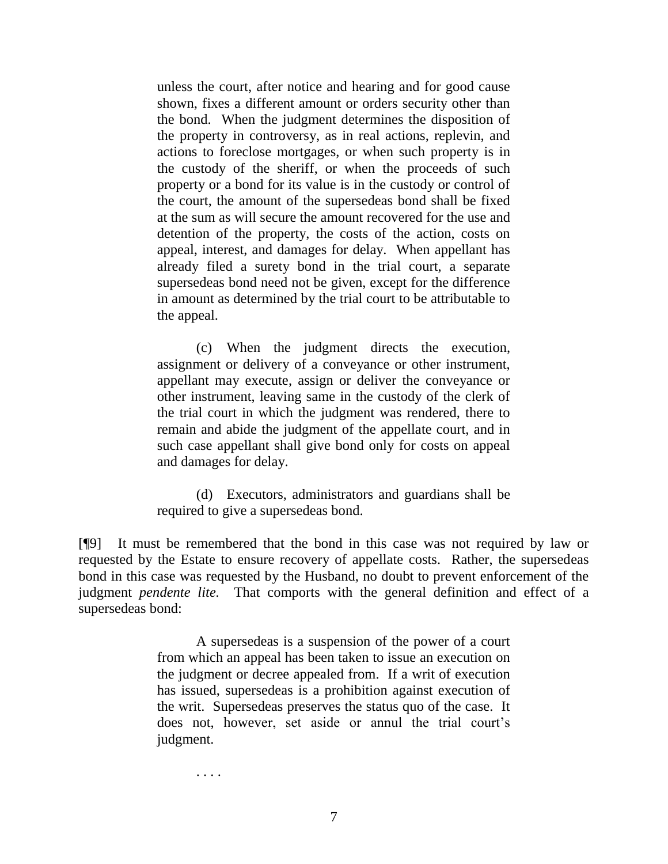unless the court, after notice and hearing and for good cause shown, fixes a different amount or orders security other than the bond. When the judgment determines the disposition of the property in controversy, as in real actions, replevin, and actions to foreclose mortgages, or when such property is in the custody of the sheriff, or when the proceeds of such property or a bond for its value is in the custody or control of the court, the amount of the supersedeas bond shall be fixed at the sum as will secure the amount recovered for the use and detention of the property, the costs of the action, costs on appeal, interest, and damages for delay. When appellant has already filed a surety bond in the trial court, a separate supersedeas bond need not be given, except for the difference in amount as determined by the trial court to be attributable to the appeal.

(c) When the judgment directs the execution, assignment or delivery of a conveyance or other instrument, appellant may execute, assign or deliver the conveyance or other instrument, leaving same in the custody of the clerk of the trial court in which the judgment was rendered, there to remain and abide the judgment of the appellate court, and in such case appellant shall give bond only for costs on appeal and damages for delay.

(d) Executors, administrators and guardians shall be required to give a supersedeas bond.

[¶9] It must be remembered that the bond in this case was not required by law or requested by the Estate to ensure recovery of appellate costs. Rather, the supersedeas bond in this case was requested by the Husband, no doubt to prevent enforcement of the judgment *pendente lite.* That comports with the general definition and effect of a supersedeas bond:

> A supersedeas is a suspension of the power of a court from which an appeal has been taken to issue an execution on the judgment or decree appealed from. If a writ of execution has issued, supersedeas is a prohibition against execution of the writ. Supersedeas preserves the status quo of the case. It does not, however, set aside or annul the trial court's judgment.

. . . .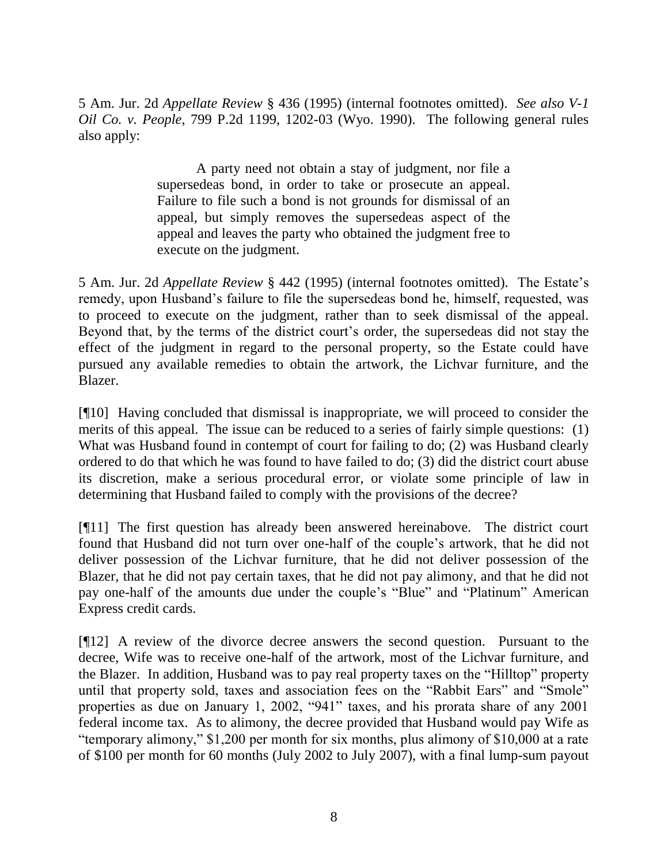5 Am. Jur. 2d *Appellate Review* § 436 (1995) (internal footnotes omitted). *See also V-1 Oil Co. v. People*, 799 P.2d 1199, 1202-03 (Wyo. 1990). The following general rules also apply:

> A party need not obtain a stay of judgment, nor file a supersedeas bond, in order to take or prosecute an appeal. Failure to file such a bond is not grounds for dismissal of an appeal, but simply removes the supersedeas aspect of the appeal and leaves the party who obtained the judgment free to execute on the judgment.

5 Am. Jur. 2d *Appellate Review* § 442 (1995) (internal footnotes omitted). The Estate's remedy, upon Husband's failure to file the supersedeas bond he, himself, requested, was to proceed to execute on the judgment, rather than to seek dismissal of the appeal. Beyond that, by the terms of the district court's order, the supersedeas did not stay the effect of the judgment in regard to the personal property, so the Estate could have pursued any available remedies to obtain the artwork, the Lichvar furniture, and the Blazer.

[¶10] Having concluded that dismissal is inappropriate, we will proceed to consider the merits of this appeal. The issue can be reduced to a series of fairly simple questions: (1) What was Husband found in contempt of court for failing to do; (2) was Husband clearly ordered to do that which he was found to have failed to do; (3) did the district court abuse its discretion, make a serious procedural error, or violate some principle of law in determining that Husband failed to comply with the provisions of the decree?

[¶11] The first question has already been answered hereinabove. The district court found that Husband did not turn over one-half of the couple's artwork, that he did not deliver possession of the Lichvar furniture, that he did not deliver possession of the Blazer, that he did not pay certain taxes, that he did not pay alimony, and that he did not pay one-half of the amounts due under the couple's "Blue" and "Platinum" American Express credit cards.

[¶12] A review of the divorce decree answers the second question. Pursuant to the decree, Wife was to receive one-half of the artwork, most of the Lichvar furniture, and the Blazer. In addition, Husband was to pay real property taxes on the "Hilltop" property until that property sold, taxes and association fees on the "Rabbit Ears" and "Smole" properties as due on January 1, 2002, "941" taxes, and his prorata share of any 2001 federal income tax. As to alimony, the decree provided that Husband would pay Wife as "temporary alimony," \$1,200 per month for six months, plus alimony of \$10,000 at a rate of \$100 per month for 60 months (July 2002 to July 2007), with a final lump-sum payout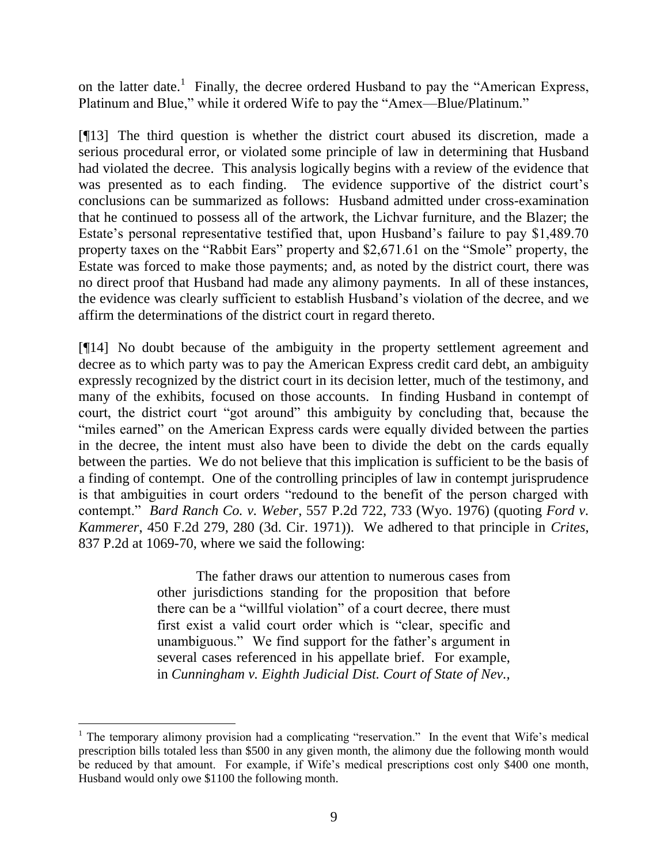on the latter date.<sup>1</sup> Finally, the decree ordered Husband to pay the "American Express, Platinum and Blue," while it ordered Wife to pay the "Amex—Blue/Platinum."

[¶13] The third question is whether the district court abused its discretion, made a serious procedural error, or violated some principle of law in determining that Husband had violated the decree. This analysis logically begins with a review of the evidence that was presented as to each finding. The evidence supportive of the district court's conclusions can be summarized as follows: Husband admitted under cross-examination that he continued to possess all of the artwork, the Lichvar furniture, and the Blazer; the Estate's personal representative testified that, upon Husband's failure to pay \$1,489.70 property taxes on the "Rabbit Ears" property and \$2,671.61 on the "Smole" property, the Estate was forced to make those payments; and, as noted by the district court, there was no direct proof that Husband had made any alimony payments. In all of these instances, the evidence was clearly sufficient to establish Husband's violation of the decree, and we affirm the determinations of the district court in regard thereto.

[¶14] No doubt because of the ambiguity in the property settlement agreement and decree as to which party was to pay the American Express credit card debt, an ambiguity expressly recognized by the district court in its decision letter, much of the testimony, and many of the exhibits, focused on those accounts. In finding Husband in contempt of court, the district court "got around" this ambiguity by concluding that, because the "miles earned" on the American Express cards were equally divided between the parties in the decree, the intent must also have been to divide the debt on the cards equally between the parties. We do not believe that this implication is sufficient to be the basis of a finding of contempt. One of the controlling principles of law in contempt jurisprudence is that ambiguities in court orders "redound to the benefit of the person charged with contempt." *Bard Ranch Co. v. Weber*, 557 P.2d 722, 733 (Wyo. 1976) (quoting *Ford v. Kammerer*, 450 F.2d 279, 280 (3d. Cir. 1971)). We adhered to that principle in *Crites*, 837 P.2d at 1069-70, where we said the following:

> The father draws our attention to numerous cases from other jurisdictions standing for the proposition that before there can be a "willful violation" of a court decree, there must first exist a valid court order which is "clear, specific and unambiguous." We find support for the father's argument in several cases referenced in his appellate brief. For example, in *Cunningham v. Eighth Judicial Dist. Court of State of Nev.,*

 $\overline{a}$ 

<sup>&</sup>lt;sup>1</sup> The temporary alimony provision had a complicating "reservation." In the event that Wife's medical prescription bills totaled less than \$500 in any given month, the alimony due the following month would be reduced by that amount. For example, if Wife's medical prescriptions cost only \$400 one month, Husband would only owe \$1100 the following month.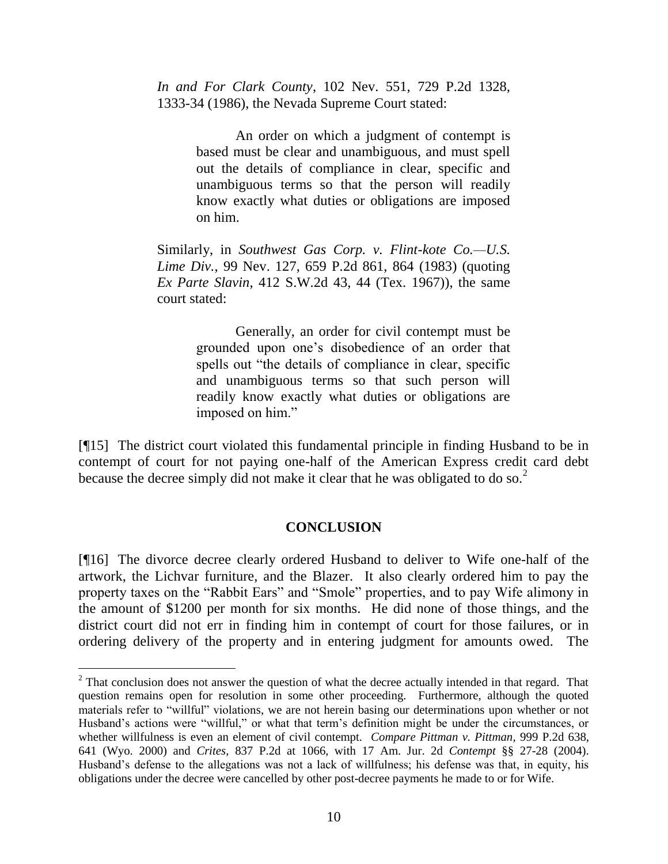*In and For Clark County*, 102 Nev. 551, 729 P.2d 1328, 1333-34 (1986), the Nevada Supreme Court stated:

> An order on which a judgment of contempt is based must be clear and unambiguous, and must spell out the details of compliance in clear, specific and unambiguous terms so that the person will readily know exactly what duties or obligations are imposed on him.

Similarly, in *Southwest Gas Corp. v. Flint-kote Co.—U.S. Lime Div.*, 99 Nev. 127, 659 P.2d 861, 864 (1983) (quoting *Ex Parte Slavin*, 412 S.W.2d 43, 44 (Tex. 1967)), the same court stated:

> Generally, an order for civil contempt must be grounded upon one's disobedience of an order that spells out "the details of compliance in clear, specific and unambiguous terms so that such person will readily know exactly what duties or obligations are imposed on him."

[¶15] The district court violated this fundamental principle in finding Husband to be in contempt of court for not paying one-half of the American Express credit card debt because the decree simply did not make it clear that he was obligated to do so.<sup>2</sup>

### **CONCLUSION**

[¶16] The divorce decree clearly ordered Husband to deliver to Wife one-half of the artwork, the Lichvar furniture, and the Blazer. It also clearly ordered him to pay the property taxes on the "Rabbit Ears" and "Smole" properties, and to pay Wife alimony in the amount of \$1200 per month for six months. He did none of those things, and the district court did not err in finding him in contempt of court for those failures, or in ordering delivery of the property and in entering judgment for amounts owed. The

 $\overline{a}$ 

<sup>&</sup>lt;sup>2</sup> That conclusion does not answer the question of what the decree actually intended in that regard. That question remains open for resolution in some other proceeding. Furthermore, although the quoted materials refer to "willful" violations, we are not herein basing our determinations upon whether or not Husband's actions were "willful," or what that term's definition might be under the circumstances, or whether willfulness is even an element of civil contempt. *Compare Pittman v. Pittman*, 999 P.2d 638, 641 (Wyo. 2000) and *Crites*, 837 P.2d at 1066, with 17 Am. Jur. 2d *Contempt* §§ 27-28 (2004). Husband's defense to the allegations was not a lack of willfulness; his defense was that, in equity, his obligations under the decree were cancelled by other post-decree payments he made to or for Wife.